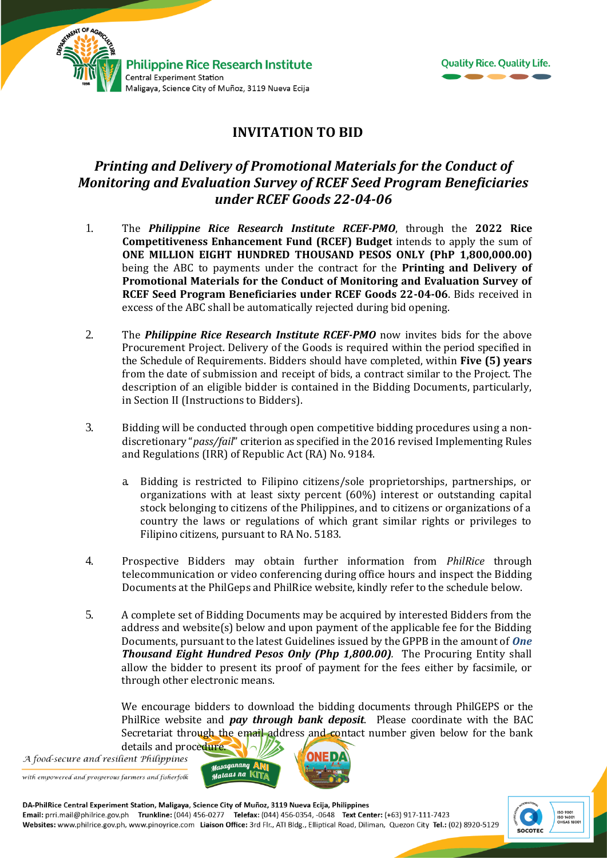

MENT OF AGRIC



## **INVITATION TO BID**

# *Printing and Delivery of Promotional Materials for the Conduct of Monitoring and Evaluation Survey of RCEF Seed Program Beneficiaries under RCEF Goods 22-04-06*

- 1. The *Philippine Rice Research Institute RCEF-PMO*, through the **2022 Rice Competitiveness Enhancement Fund (RCEF) Budget** intends to apply the sum of **ONE MILLION EIGHT HUNDRED THOUSAND PESOS ONLY (PhP 1,800,000.00)** being the ABC to payments under the contract for the **Printing and Delivery of Promotional Materials for the Conduct of Monitoring and Evaluation Survey of RCEF Seed Program Beneficiaries under RCEF Goods 22-04-06**. Bids received in excess of the ABC shall be automatically rejected during bid opening.
- 2. The *Philippine Rice Research Institute RCEF-PMO* now invites bids for the above Procurement Project. Delivery of the Goods is required within the period specified in the Schedule of Requirements. Bidders should have completed, within **Five (5) years** from the date of submission and receipt of bids, a contract similar to the Project. The description of an eligible bidder is contained in the Bidding Documents, particularly, in Section II (Instructions to Bidders).
- 3. Bidding will be conducted through open competitive bidding procedures using a nondiscretionary "*pass/fail*" criterion as specified in the 2016 revised Implementing Rules and Regulations (IRR) of Republic Act (RA) No. 9184.
	- a. Bidding is restricted to Filipino citizens/sole proprietorships, partnerships, or organizations with at least sixty percent (60%) interest or outstanding capital stock belonging to citizens of the Philippines, and to citizens or organizations of a country the laws or regulations of which grant similar rights or privileges to Filipino citizens, pursuant to RA No. 5183.
- 4. Prospective Bidders may obtain further information from *PhilRice* through telecommunication or video conferencing during office hours and inspect the Bidding Documents at the PhilGeps and PhilRice website, kindly refer to the schedule below.
- 5. A complete set of Bidding Documents may be acquired by interested Bidders from the address and website(s) below and upon payment of the applicable fee for the Bidding Documents, pursuant to the latest Guidelines issued by the GPPB in the amount of *One Thousand Eight Hundred Pesos Only (Php 1,800.00).* The Procuring Entity shall allow the bidder to present its proof of payment for the fees either by facsimile, or through other electronic means.

We encourage bidders to download the bidding documents through PhilGEPS or the PhilRice website and *pay through bank deposit*. Please coordinate with the BAC Secretariat through the email address and contact number given below for the bank details and procedure.

A food-secure and resilient Philippines

with empowered and prosperous farmers and fisherfolk



DA-PhilRice Central Experiment Station, Maligaya, Science City of Muñoz, 3119 Nueva Ecija, Philippines<br>Email: prri.mail@philrice.gov.ph Trunkline: (044) 456-0277 Telefax: (044) 456-0354, -0648 Text Center: (+63) 917-111-74 Websites: www.philrice.gov.ph, www.pinoyrice.com Liaison Office: 3rd Flr., ATI Bldg., Elliptical Road, Diliman, Quezon City Tel.: (02) 8920-5129

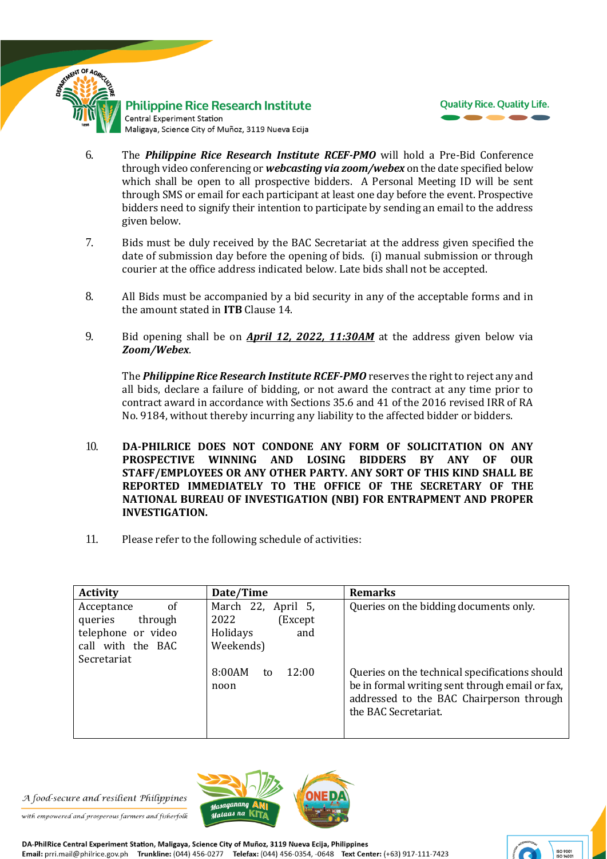

#### **Philippine Rice Research Institute** Central Experiment Station Maligaya, Science City of Muñoz, 3119 Nueva Ecija



- 6. The *Philippine Rice Research Institute RCEF-PMO* will hold a Pre-Bid Conference through video conferencing or *webcasting via zoom/webex* on the date specified below which shall be open to all prospective bidders. A Personal Meeting ID will be sent through SMS or email for each participant at least one day before the event. Prospective bidders need to signify their intention to participate by sending an email to the address given below.
- 7. Bids must be duly received by the BAC Secretariat at the address given specified the date of submission day before the opening of bids. (i) manual submission or through courier at the office address indicated below*.* Late bids shall not be accepted.
- 8. All Bids must be accompanied by a bid security in any of the acceptable forms and in the amount stated in **ITB** Clause 14.
- 9. Bid opening shall be on *April 12, 2022, 11:30AM* at the address given below via *Zoom/Webex*.

The *Philippine Rice Research Institute RCEF-PMO* reserves the right to reject any and all bids, declare a failure of bidding, or not award the contract at any time prior to contract award in accordance with Sections 35.6 and 41 of the 2016 revised IRR of RA No. 9184, without thereby incurring any liability to the affected bidder or bidders.

- 10. **DA-PHILRICE DOES NOT CONDONE ANY FORM OF SOLICITATION ON ANY PROSPECTIVE WINNING AND LOSING BIDDERS BY ANY OF OUR STAFF/EMPLOYEES OR ANY OTHER PARTY. ANY SORT OF THIS KIND SHALL BE REPORTED IMMEDIATELY TO THE OFFICE OF THE SECRETARY OF THE NATIONAL BUREAU OF INVESTIGATION (NBI) FOR ENTRAPMENT AND PROPER INVESTIGATION.**
- 11. Please refer to the following schedule of activities:

| <b>Activity</b>                                                                                  | Date/Time                                                              | <b>Remarks</b>                                                                                                                                                        |
|--------------------------------------------------------------------------------------------------|------------------------------------------------------------------------|-----------------------------------------------------------------------------------------------------------------------------------------------------------------------|
| of<br>Acceptance<br>queries<br>through<br>telephone or video<br>call with the BAC<br>Secretariat | March 22, April 5,<br>2022<br>(Except)<br>Holidays<br>and<br>Weekends) | Queries on the bidding documents only.                                                                                                                                |
|                                                                                                  | 8:00AM<br>12:00<br>to<br>noon                                          | Queries on the technical specifications should<br>be in formal writing sent through email or fax,<br>addressed to the BAC Chairperson through<br>the BAC Secretariat. |

A food-secure and resilient Philippines

with empowered and prosperous farmers and fisherfolk



DA-PhilRice Central Experiment Station, Maligaya, Science City of Muñoz, 3119 Nueva Ecija, Philippines Email: prri.mail@philrice.gov.ph Trunkline: (044) 456-0277 Telefax: (044) 456-0354, -0648 Text Center: (+63) 917-111-7423